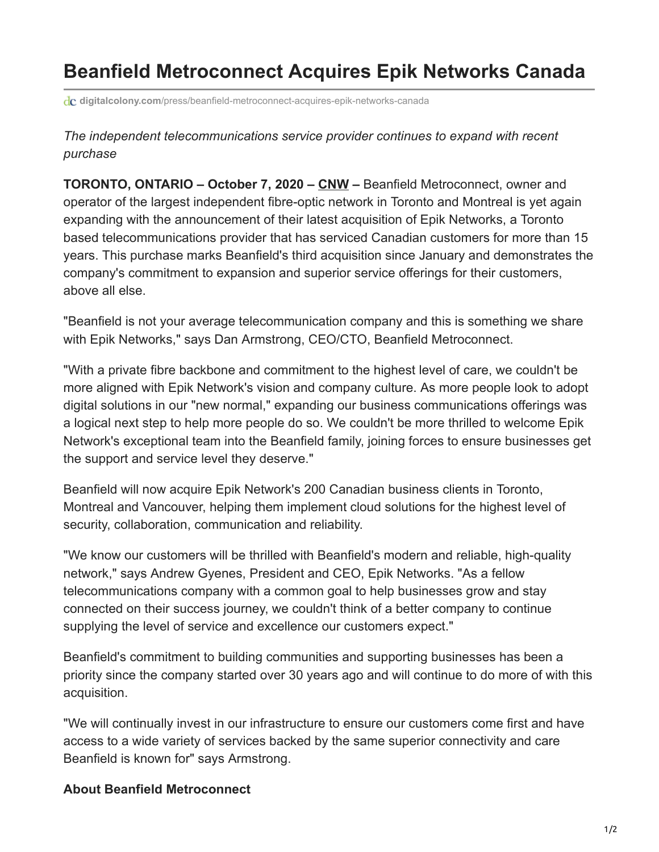## **Beanfield Metroconnect Acquires Epik Networks Canada**

**digitalcolony.com**[/press/beanfield-metroconnect-acquires-epik-networks-canada](https://digitalcolony.com/press/beanfield-metroconnect-acquires-epik-networks-canada)

*The independent telecommunications service provider continues to expand with recent purchase*

**TORONTO, ONTARIO – October 7, 2020 – [CNW](https://www.newswire.ca/news-releases/beanfield-metroconnect-acquires-epik-networks-canada-817299124.html) –** Beanfield Metroconnect, owner and operator of the largest independent fibre-optic network in Toronto and Montreal is yet again expanding with the announcement of their latest acquisition of Epik Networks, a Toronto based telecommunications provider that has serviced Canadian customers for more than 15 years. This purchase marks Beanfield's third acquisition since January and demonstrates the company's commitment to expansion and superior service offerings for their customers, above all else.

"Beanfield is not your average telecommunication company and this is something we share with Epik Networks," says Dan Armstrong, CEO/CTO, Beanfield Metroconnect.

"With a private fibre backbone and commitment to the highest level of care, we couldn't be more aligned with Epik Network's vision and company culture. As more people look to adopt digital solutions in our "new normal," expanding our business communications offerings was a logical next step to help more people do so. We couldn't be more thrilled to welcome Epik Network's exceptional team into the Beanfield family, joining forces to ensure businesses get the support and service level they deserve."

Beanfield will now acquire Epik Network's 200 Canadian business clients in Toronto, Montreal and Vancouver, helping them implement cloud solutions for the highest level of security, collaboration, communication and reliability.

"We know our customers will be thrilled with Beanfield's modern and reliable, high-quality network," says Andrew Gyenes, President and CEO, Epik Networks. "As a fellow telecommunications company with a common goal to help businesses grow and stay connected on their success journey, we couldn't think of a better company to continue supplying the level of service and excellence our customers expect."

Beanfield's commitment to building communities and supporting businesses has been a priority since the company started over 30 years ago and will continue to do more of with this acquisition.

"We will continually invest in our infrastructure to ensure our customers come first and have access to a wide variety of services backed by the same superior connectivity and care Beanfield is known for" says Armstrong.

## **About Beanfield Metroconnect**